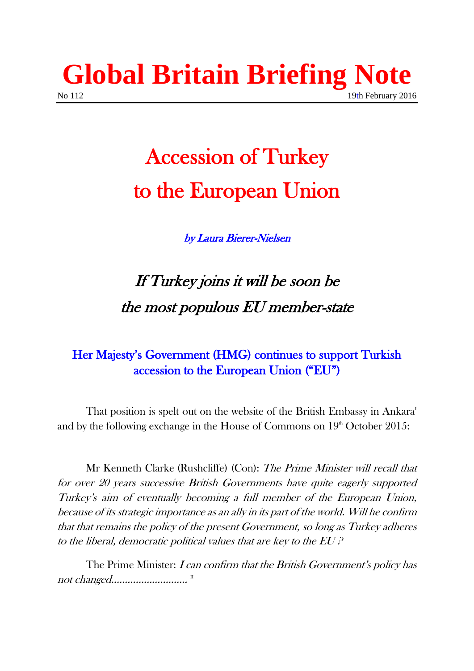

## Accession of Turkey to the European Union

by Laura Bierer-Nielsen

## If Turkey joins it will be soon be the most populous EU member-state

### Her Majesty's Government (HMG) continues to support Turkish accession to the European Union ("EU")

That position is spelt out on the website of the British Embassy in Ankara<sup>I</sup> and by the following exchange in the House of Commons on  $19<sup>th</sup>$  October 2015:

Mr Kenneth Clarke (Rushcliffe) (Con): The Prime Minister will recall that for over 20 years successive British Governments have quite eagerly supported Turkey's aim of eventually becoming a full member of the European Union, because of its strategic importance as an ally in its part of the world. Will he confirm that that remains the policy of the present Government, so long as Turkey adheres to the liberal, democratic political values that are key to the EU ?

The Prime Minister: *I can confirm that the British Government's policy has* not changed................................<sup>...</sup>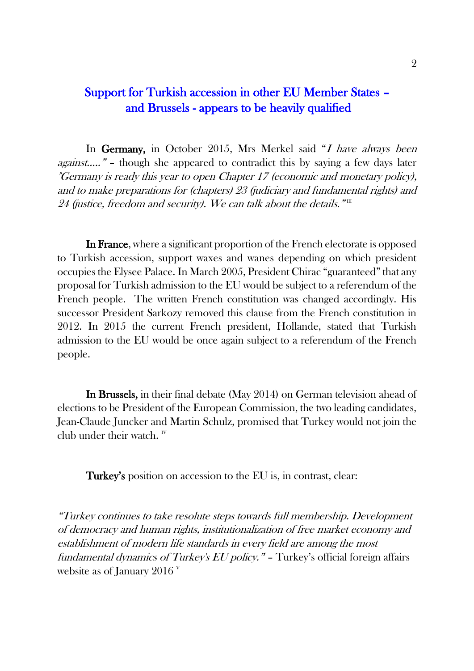#### Support for Turkish accession in other EU Member States – and Brussels - appears to be heavily qualified

In Germany, in October 2015, Mrs Merkel said "I have always been against….." – though she appeared to contradict this by saying a few days later "Germany is ready this year to open Chapter 17 (economic and monetary policy), and to make preparations for (chapters) 23 (judiciary and fundamental rights) and 24 (justice, freedom and security). We can talk about the details.  $"\mathbb{I}$ 

In France, where a significant proportion of the French electorate is opposed to Turkish accession, support waxes and wanes depending on which president occupies the Elysee Palace. In March 2005, President Chirac "guaranteed" that any proposal for Turkish admission to the EU would be subject to a referendum of the French people. The written French constitution was changed accordingly. His successor President Sarkozy removed this clause from the French constitution in 2012. In 2015 the current French president, Hollande, stated that Turkish admission to the EU would be once again subject to a referendum of the French people.

In Brussels, in their final debate (May 2014) on German television ahead of elections to be President of the European Commission, the two leading candidates, Jean-Claude Juncker and Martin Schulz, promised that Turkey would not join the club under their watch.  $W$ 

Turkey's position on accession to the EU is, in contrast, clear:

"Turkey continues to take resolute steps towards full membership. Development of democracy and human rights, institutionalization of free market economy and establishment of modern life standards in every field are among the most fundamental dynamics of Turkey's EU policy." - Turkey's official foreign affairs website as of January 2016 $V$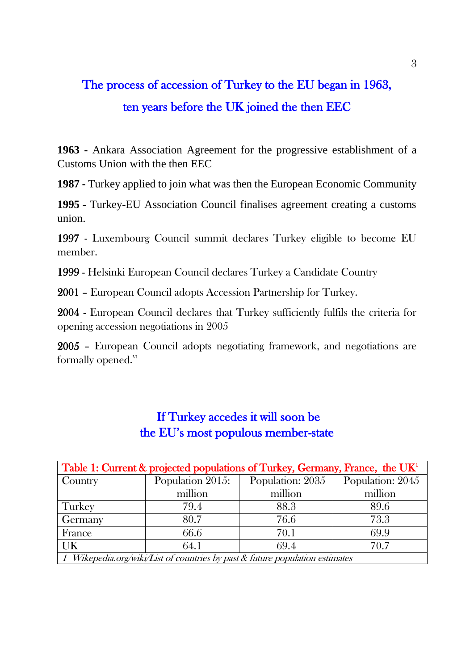## The process of accession of Turkey to the EU began in 1963, ten years before the UK joined the then EEC

**1963 -** Ankara Association Agreement for the progressive establishment of a Customs Union with the then EEC

**1987 -** Turkey applied to join what was then the European Economic Community

**1995** - Turkey-EU Association Council finalises agreement creating a customs union.

1997 - Luxembourg Council summit declares Turkey eligible to become EU member.

1999 - Helsinki European Council declares Turkey a Candidate Country

2001 – European Council adopts Accession Partnership for Turkey.

2004 - European Council declares that Turkey sufficiently fulfils the criteria for opening accession negotiations in 2005

2005 – European Council adopts negotiating framework, and negotiations are formally opened. $V<sup>T</sup>$ 

| Table 1: Current & projected populations of Turkey, Germany, France, the $UKT$  |                  |                  |                  |  |
|---------------------------------------------------------------------------------|------------------|------------------|------------------|--|
| Country                                                                         | Population 2015: | Population: 2035 | Population: 2045 |  |
|                                                                                 | million          | million          | million          |  |
| <b>Turkey</b>                                                                   | 79.4             | 88.3             | 89.6             |  |
| Germany                                                                         | 80.7             | 76.6             | 73.3             |  |
| France                                                                          | 66.6             | 70.1             | 69.9             |  |
| <b>UK</b>                                                                       | 64.1             | 69.4             | 70.7             |  |
| 1 Wikepedia.org/wiki/List of countries by past $\&$ future population estimates |                  |                  |                  |  |

#### If Turkey accedes it will soon be the EU's most populous member-state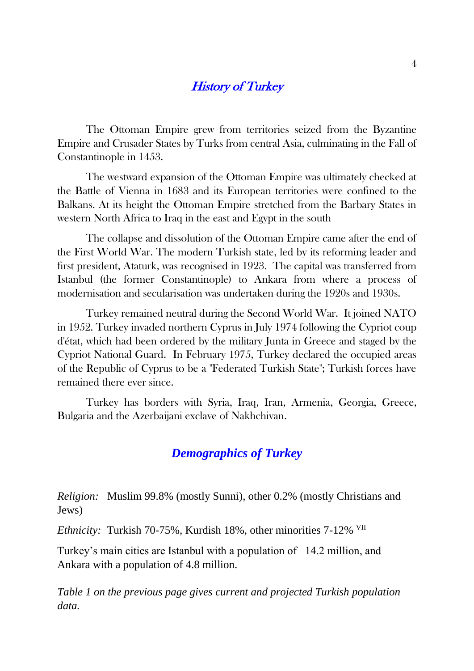#### **History of Turkey**

The Ottoman Empire grew from territories seized from the Byzantine Empire and Crusader States by Turks from central Asia, culminating in the Fall of Constantinople in 1453.

The westward expansion of the Ottoman Empire was ultimately checked at the Battle of Vienna in 1683 and its European territories were confined to the Balkans. At its height the Ottoman Empire stretched from the Barbary States in western North Africa to Iraq in the east and Egypt in the south

The collapse and dissolution of the Ottoman Empire came after the end of the First World War. The modern Turkish state, led by its reforming leader and first president, Ataturk, was recognised in 1923. The capital was transferred from Istanbul (the former Constantinople) to Ankara from where a process of modernisation and secularisation was undertaken during the 1920s and 1930s.

Turkey remained neutral during the Second World War. It joined NATO in 1952. Turkey invaded northern Cyprus in July 1974 following the Cypriot coup d'état, which had been ordered by the military Junta in Greece and staged by the Cypriot National Guard. In February 1975, Turkey declared the occupied areas of the Republic of Cyprus to be a "Federated Turkish State"; Turkish forces have remained there ever since.

Turkey has borders with Syria, Iraq, Iran, Armenia, Georgia, Greece, Bulgaria and the Azerbaijani exclave of Nakhchivan.

#### *Demographics of Turkey*

*Religion:* Muslim 99.8% (mostly Sunni), other 0.2% (mostly Christians and Jews)

*Ethnicity:* Turkish 70-75%, Kurdish 18%, other minorities 7-12% VII

Turkey's main cities are Istanbul with a population of 14.2 million, and Ankara with a population of 4.8 million.

*Table 1 on the previous page gives current and projected Turkish population data.*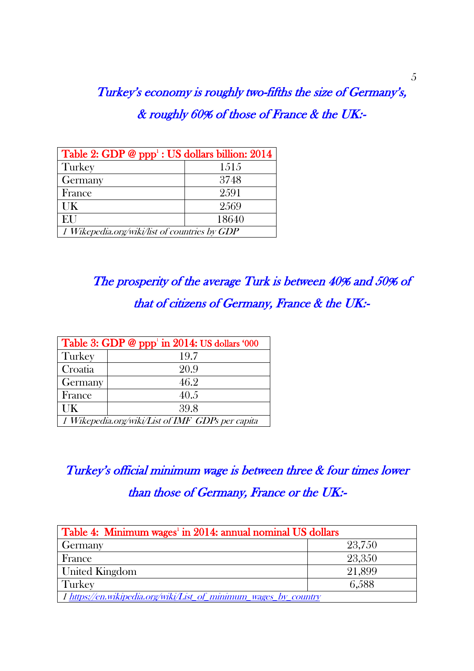Turkey's economy is roughly two-fifths the size of Germany's, & roughly 60% of those of France & the UK:-

| Table 2: GDP @ ppp <sup>1</sup> : US dollars billion: 2014 |       |  |
|------------------------------------------------------------|-------|--|
| Turkey                                                     | 1515  |  |
| Germany                                                    | 3748  |  |
| France                                                     | 2.591 |  |
| UK                                                         | 2569  |  |
| EU                                                         | 18640 |  |
| 1 Wikepedia.org/wiki/list of countries by GDP              |       |  |

The prosperity of the average Turk is between 40% and 50% of that of citizens of Germany, France & the UK:-

| Table 3: GDP @ $ppp^1$ in 2014: US dollars '000  |      |  |  |
|--------------------------------------------------|------|--|--|
| Turkey                                           | 19.7 |  |  |
| Croatia                                          | 20.9 |  |  |
| Germany                                          | 46.2 |  |  |
| France                                           | 40.5 |  |  |
| <b>I</b> K                                       | 39.8 |  |  |
| 1 Wikepedia.org/wiki/List of IMF GDPs per capita |      |  |  |

Turkey's official minimum wage is between three & four times lower than those of Germany, France or the UK:-

| Table 4: Minimum wages <sup>1</sup> in 2014: annual nominal US dollars |        |  |
|------------------------------------------------------------------------|--------|--|
| <b>Germany</b>                                                         | 23,750 |  |
| France                                                                 | 23,350 |  |
| <b>United Kingdom</b>                                                  | 21,899 |  |
| Turkey                                                                 | 6,588  |  |
| 1 https://en.wikipedia.org/wiki/List_of_minimum_wages_by_country       |        |  |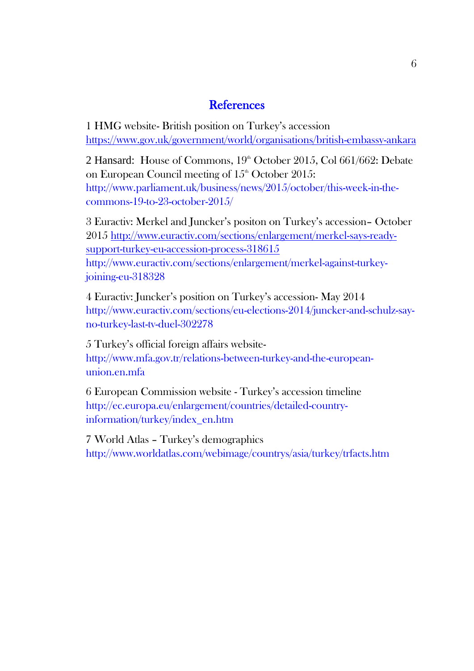#### **References**

1 HMG website- British position on Turkey's accession <https://www.gov.uk/government/world/organisations/british-embassy-ankara>

2 Hansard: House of Commons,  $19<sup>th</sup>$  October 2015, Col 661/662: Debate on European Council meeting of  $15<sup>th</sup>$  October 2015: http://www.parliament.uk/business/news/2015/october/this-week-in-thecommons-19-to-23-october-2015/

3 Euractiv: Merkel and Juncker's positon on Turkey's accession– October 2015 [http://www.euractiv.com/sections/enlargement/merkel-says-ready](http://www.euractiv.com/sections/enlargement/merkel-says-ready-support-turkey-eu-accession-process-318615)[support-turkey-eu-accession-process-318615](http://www.euractiv.com/sections/enlargement/merkel-says-ready-support-turkey-eu-accession-process-318615) http://www.euractiv.com/sections/enlargement/merkel-against-turkeyjoining-eu-318328

4 Euractiv: Juncker's position on Turkey's accession- May 2014 http://www.euractiv.com/sections/eu-elections-2014/juncker-and-schulz-sayno-turkey-last-tv-duel-302278

5 Turkey's official foreign affairs websitehttp://www.mfa.gov.tr/relations-between-turkey-and-the-europeanunion.en.mfa

6 European Commission website - Turkey's accession timeline http://ec.europa.eu/enlargement/countries/detailed-countryinformation/turkey/index\_en.htm

7 World Atlas – Turkey's demographics http://www.worldatlas.com/webimage/countrys/asia/turkey/trfacts.htm